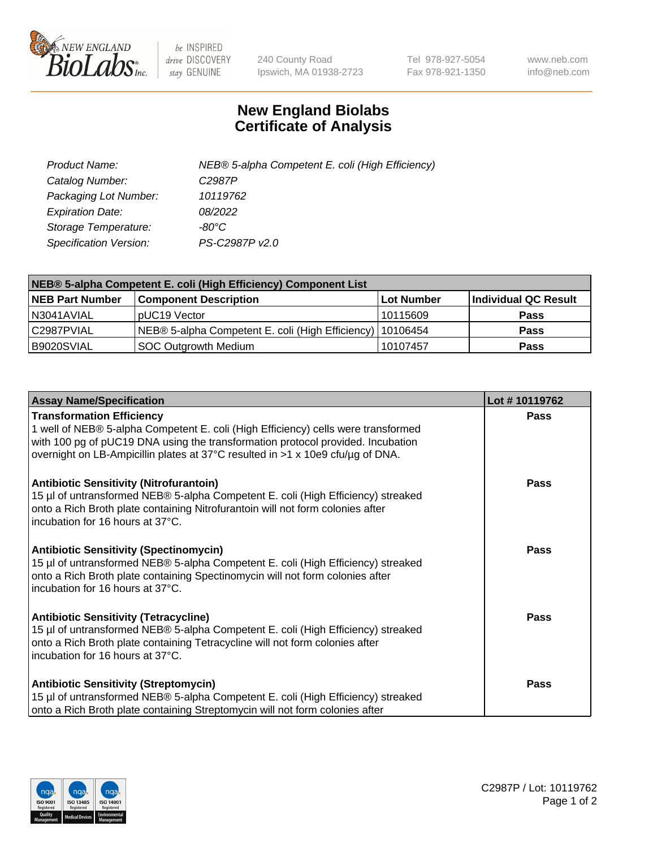

 $be$  INSPIRED drive DISCOVERY stay GENUINE

240 County Road Ipswich, MA 01938-2723 Tel 978-927-5054 Fax 978-921-1350 www.neb.com info@neb.com

## **New England Biolabs Certificate of Analysis**

| Product Name:                 | NEB® 5-alpha Competent E. coli (High Efficiency) |
|-------------------------------|--------------------------------------------------|
| Catalog Number:               | C <sub>2987</sub> P                              |
| Packaging Lot Number:         | 10119762                                         |
| <b>Expiration Date:</b>       | 08/2022                                          |
| Storage Temperature:          | -80°C                                            |
| <b>Specification Version:</b> | PS-C2987P v2.0                                   |

| NEB® 5-alpha Competent E. coli (High Efficiency) Component List |                                                             |            |                      |  |
|-----------------------------------------------------------------|-------------------------------------------------------------|------------|----------------------|--|
| <b>NEB Part Number</b>                                          | <b>Component Description</b>                                | Lot Number | Individual QC Result |  |
| N3041AVIAL                                                      | pUC19 Vector                                                | 10115609   | <b>Pass</b>          |  |
| C2987PVIAL                                                      | NEB® 5-alpha Competent E. coli (High Efficiency)   10106454 |            | <b>Pass</b>          |  |
| B9020SVIAL                                                      | <b>SOC Outgrowth Medium</b>                                 | 10107457   | <b>Pass</b>          |  |

| <b>Assay Name/Specification</b>                                                                                                                                                                                                                                                            | Lot #10119762 |
|--------------------------------------------------------------------------------------------------------------------------------------------------------------------------------------------------------------------------------------------------------------------------------------------|---------------|
| <b>Transformation Efficiency</b><br>1 well of NEB® 5-alpha Competent E. coli (High Efficiency) cells were transformed<br>with 100 pg of pUC19 DNA using the transformation protocol provided. Incubation<br>overnight on LB-Ampicillin plates at 37°C resulted in >1 x 10e9 cfu/µg of DNA. | Pass          |
| <b>Antibiotic Sensitivity (Nitrofurantoin)</b><br>15 µl of untransformed NEB® 5-alpha Competent E. coli (High Efficiency) streaked<br>onto a Rich Broth plate containing Nitrofurantoin will not form colonies after<br>incubation for 16 hours at 37°C.                                   | Pass          |
| <b>Antibiotic Sensitivity (Spectinomycin)</b><br>15 µl of untransformed NEB® 5-alpha Competent E. coli (High Efficiency) streaked<br>onto a Rich Broth plate containing Spectinomycin will not form colonies after<br>incubation for 16 hours at 37°C.                                     | Pass          |
| <b>Antibiotic Sensitivity (Tetracycline)</b><br>15 µl of untransformed NEB® 5-alpha Competent E. coli (High Efficiency) streaked<br>onto a Rich Broth plate containing Tetracycline will not form colonies after<br>incubation for 16 hours at 37°C.                                       | Pass          |
| <b>Antibiotic Sensitivity (Streptomycin)</b><br>15 µl of untransformed NEB® 5-alpha Competent E. coli (High Efficiency) streaked<br>onto a Rich Broth plate containing Streptomycin will not form colonies after                                                                           | Pass          |